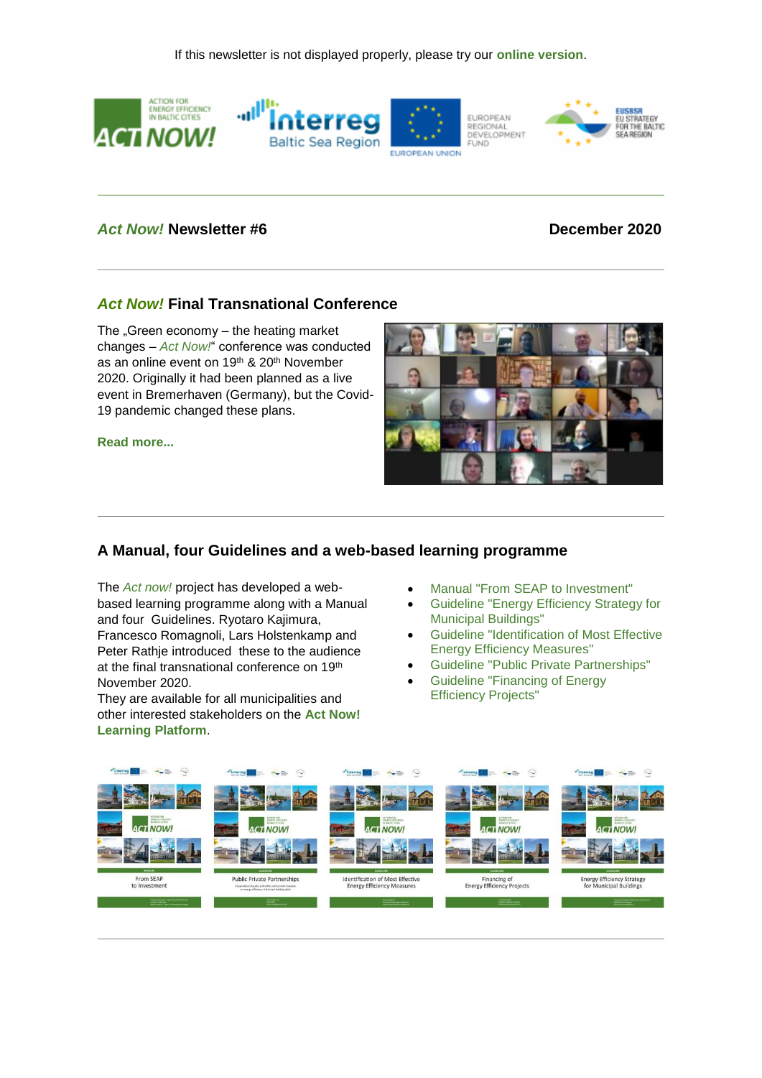

## *Act Now!* **Newsletter #6 December 2020**

## *Act Now!* **Final Transnational Conference**

The  $\sqrt{a}$ Green economy – the heating market changes – *Act Now!*" conference was conducted as an online event on 19<sup>th</sup> & 20<sup>th</sup> November 2020. Originally it had been planned as a live event in Bremerhaven (Germany), but the Covid-19 pandemic changed these plans.

**[Read more...](https://191838.seu.cleverreach.com/c/41214836/08243c902-qkys78)**



# **A Manual, four Guidelines and a web-based learning programme**

The *Act now!* project has developed a webbased learning programme along with a Manual and four Guidelines. Ryotaro Kajimura, Francesco Romagnoli, Lars Holstenkamp and Peter Rathje introduced these to the audience at the final transnational conference on 19th November 2020.

They are available for all municipalities and other interested stakeholders on the **[Act Now!](https://191838.seu.cleverreach.com/c/41214837/08243c902-qkys78)  [Learning Platform](https://191838.seu.cleverreach.com/c/41214837/08243c902-qkys78)**.

- [Manual "From SEAP to Investment"](https://191838.seu.cleverreach.com/c/41214838/08243c902-qkys78)
- [Guideline "Energy Efficiency Strategy for](https://191838.seu.cleverreach.com/c/41214839/08243c902-qkys78)  [Municipal Buildings"](https://191838.seu.cleverreach.com/c/41214839/08243c902-qkys78)
- [Guideline "Identification of Most Effective](https://191838.seu.cleverreach.com/c/41214840/08243c902-qkys78)  [Energy Efficiency Measures"](https://191838.seu.cleverreach.com/c/41214840/08243c902-qkys78)
- [Guideline "Public Private Partnerships"](https://191838.seu.cleverreach.com/c/41214841/08243c902-qkys78)
- [Guideline "Financing of Energy](https://191838.seu.cleverreach.com/c/41214842/08243c902-qkys78)  [Efficiency Projects"](https://191838.seu.cleverreach.com/c/41214842/08243c902-qkys78)

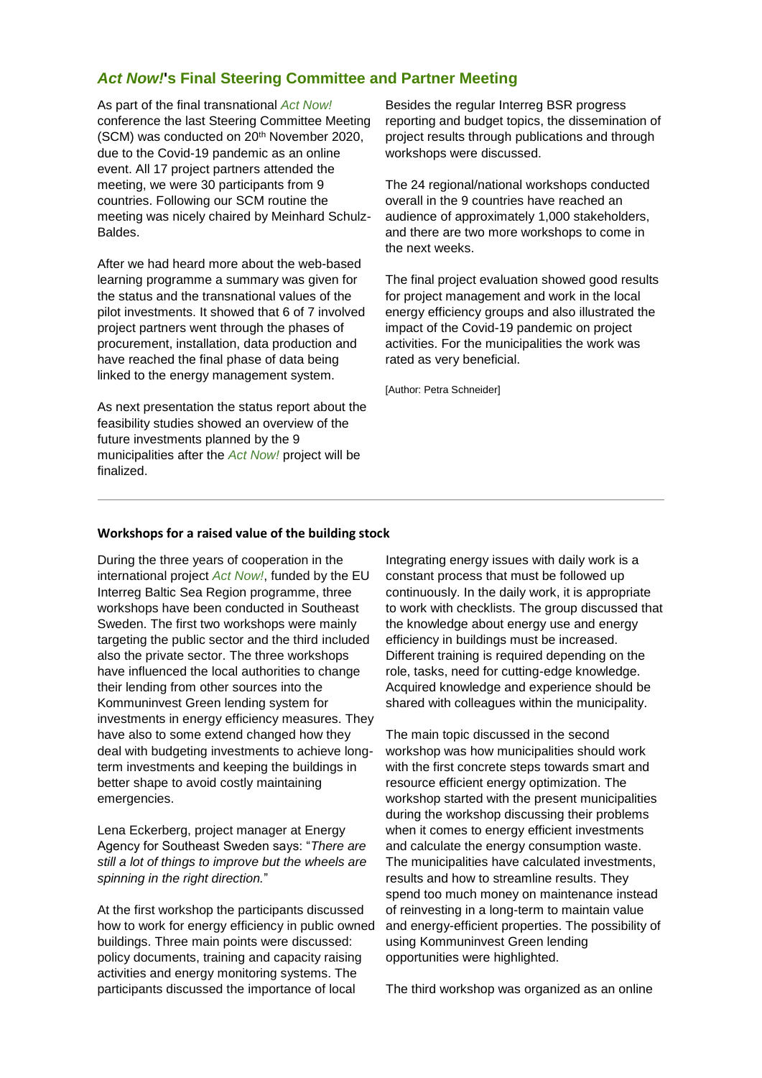# *Act Now!***'s Final Steering Committee and Partner Meeting**

As part of the final transnational *Act Now!* conference the last Steering Committee Meeting (SCM) was conducted on 20th November 2020, due to the Covid-19 pandemic as an online event. All 17 project partners attended the meeting, we were 30 participants from 9 countries. Following our SCM routine the meeting was nicely chaired by Meinhard Schulz-Baldes.

After we had heard more about the web-based learning programme a summary was given for the status and the transnational values of the pilot investments. It showed that 6 of 7 involved project partners went through the phases of procurement, installation, data production and have reached the final phase of data being linked to the energy management system.

As next presentation the status report about the feasibility studies showed an overview of the future investments planned by the 9 municipalities after the *Act Now!* project will be finalized.

Besides the regular Interreg BSR progress reporting and budget topics, the dissemination of project results through publications and through workshops were discussed.

The 24 regional/national workshops conducted overall in the 9 countries have reached an audience of approximately 1,000 stakeholders, and there are two more workshops to come in the next weeks.

The final project evaluation showed good results for project management and work in the local energy efficiency groups and also illustrated the impact of the Covid-19 pandemic on project activities. For the municipalities the work was rated as very beneficial.

[Author: Petra Schneider]

### **Workshops for a raised value of the building stock**

During the three years of cooperation in the international project *Act Now!*, funded by the EU Interreg Baltic Sea Region programme, three workshops have been conducted in Southeast Sweden. The first two workshops were mainly targeting the public sector and the third included also the private sector. The three workshops have influenced the local authorities to change their lending from other sources into the Kommuninvest Green lending system for investments in energy efficiency measures. They have also to some extend changed how they deal with budgeting investments to achieve longterm investments and keeping the buildings in better shape to avoid costly maintaining emergencies.

Lena Eckerberg, project manager at Energy Agency for Southeast Sweden says: "*There are still a lot of things to improve but the wheels are spinning in the right direction.*"

At the first workshop the participants discussed how to work for energy efficiency in public owned buildings. Three main points were discussed: policy documents, training and capacity raising activities and energy monitoring systems. The participants discussed the importance of local

Integrating energy issues with daily work is a constant process that must be followed up continuously. In the daily work, it is appropriate to work with checklists. The group discussed that the knowledge about energy use and energy efficiency in buildings must be increased. Different training is required depending on the role, tasks, need for cutting-edge knowledge. Acquired knowledge and experience should be shared with colleagues within the municipality.

The main topic discussed in the second workshop was how municipalities should work with the first concrete steps towards smart and resource efficient energy optimization. The workshop started with the present municipalities during the workshop discussing their problems when it comes to energy efficient investments and calculate the energy consumption waste. The municipalities have calculated investments, results and how to streamline results. They spend too much money on maintenance instead of reinvesting in a long-term to maintain value and energy-efficient properties. The possibility of using Kommuninvest Green lending opportunities were highlighted.

The third workshop was organized as an online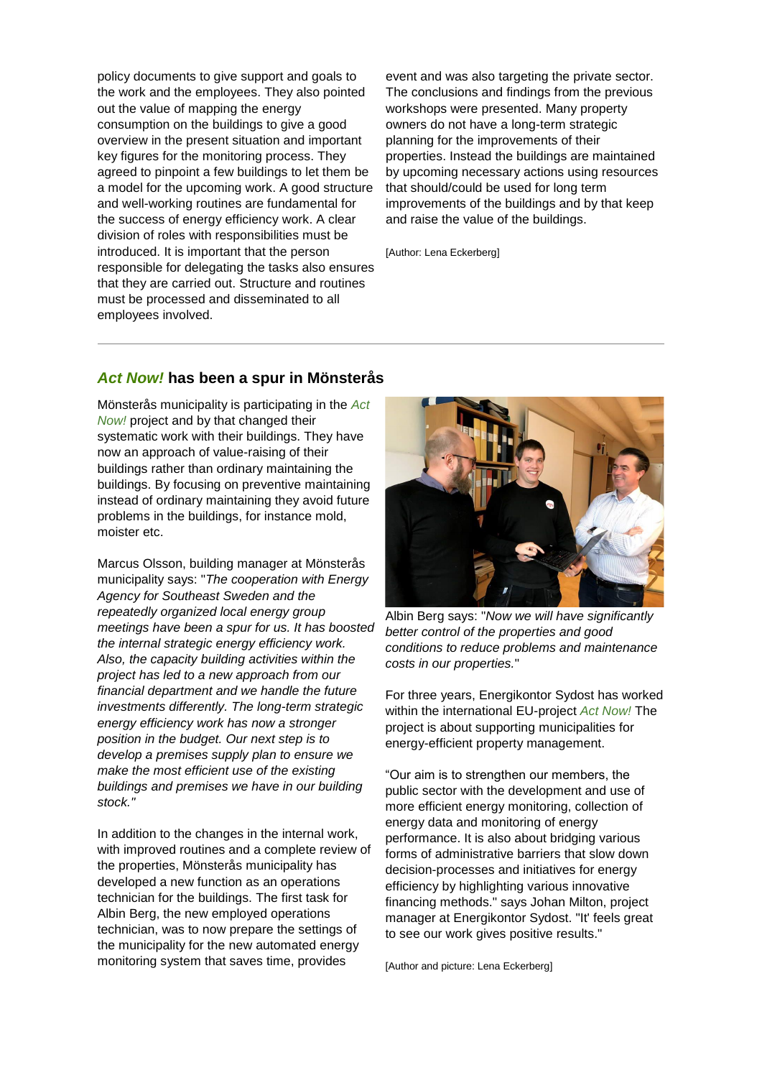policy documents to give support and goals to the work and the employees. They also pointed out the value of mapping the energy consumption on the buildings to give a good overview in the present situation and important key figures for the monitoring process. They agreed to pinpoint a few buildings to let them be a model for the upcoming work. A good structure and well-working routines are fundamental for the success of energy efficiency work. A clear division of roles with responsibilities must be introduced. It is important that the person responsible for delegating the tasks also ensures that they are carried out. Structure and routines must be processed and disseminated to all employees involved.

event and was also targeting the private sector. The conclusions and findings from the previous workshops were presented. Many property owners do not have a long-term strategic planning for the improvements of their properties. Instead the buildings are maintained by upcoming necessary actions using resources that should/could be used for long term improvements of the buildings and by that keep and raise the value of the buildings.

[Author: Lena Eckerberg]

### *Act Now!* **has been a spur in Mönsterås**

Mönsterås municipality is participating in the *Act Now!* project and by that changed their systematic work with their buildings. They have now an approach of value-raising of their buildings rather than ordinary maintaining the buildings. By focusing on preventive maintaining instead of ordinary maintaining they avoid future problems in the buildings, for instance mold, moister etc.

Marcus Olsson, building manager at Mönsterås municipality says: "*The cooperation with Energy Agency for Southeast Sweden and the repeatedly organized local energy group meetings have been a spur for us. It has boosted the internal strategic energy efficiency work. Also, the capacity building activities within the project has led to a new approach from our financial department and we handle the future investments differently. The long-term strategic energy efficiency work has now a stronger position in the budget. Our next step is to develop a premises supply plan to ensure we make the most efficient use of the existing buildings and premises we have in our building stock."*

In addition to the changes in the internal work, with improved routines and a complete review of the properties, Mönsterås municipality has developed a new function as an operations technician for the buildings. The first task for Albin Berg, the new employed operations technician, was to now prepare the settings of the municipality for the new automated energy monitoring system that saves time, provides



Albin Berg says: "*Now we will have significantly better control of the properties and good conditions to reduce problems and maintenance costs in our properties.*"

For three years, Energikontor Sydost has worked within the international EU-project *Act Now!* The project is about supporting municipalities for energy-efficient property management.

"Our aim is to strengthen our members, the public sector with the development and use of more efficient energy monitoring, collection of energy data and monitoring of energy performance. It is also about bridging various forms of administrative barriers that slow down decision-processes and initiatives for energy efficiency by highlighting various innovative financing methods." says Johan Milton, project manager at Energikontor Sydost. "It' feels great to see our work gives positive results."

[Author and picture: Lena Eckerberg]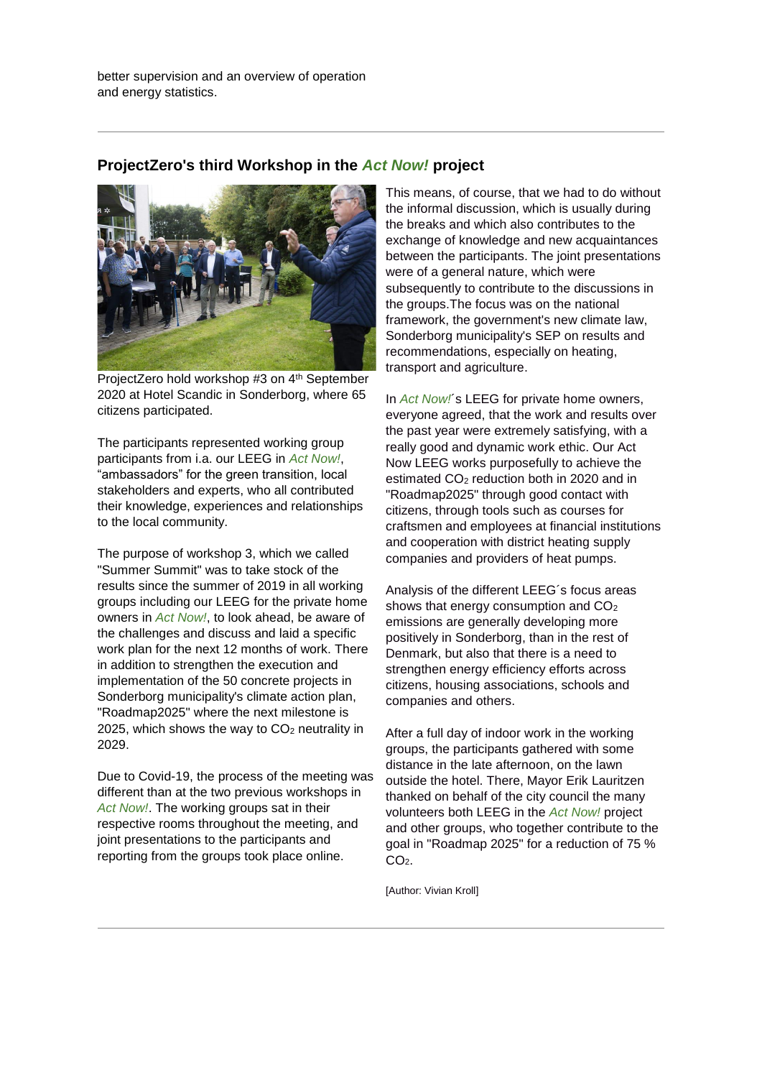better supervision and an overview of operation and energy statistics.

## **ProjectZero's third Workshop in the** *Act Now!* **project**



ProjectZero hold workshop #3 on 4<sup>th</sup> September 2020 at Hotel Scandic in Sonderborg, where 65 citizens participated.

The participants represented working group participants from i.a. our LEEG in *Act Now!*, "ambassadors" for the green transition, local stakeholders and experts, who all contributed their knowledge, experiences and relationships to the local community.

The purpose of workshop 3, which we called "Summer Summit" was to take stock of the results since the summer of 2019 in all working groups including our LEEG for the private home owners in *Act Now!*, to look ahead, be aware of the challenges and discuss and laid a specific work plan for the next 12 months of work. There in addition to strengthen the execution and implementation of the 50 concrete projects in Sonderborg municipality's climate action plan, "Roadmap2025" where the next milestone is 2025, which shows the way to  $CO<sub>2</sub>$  neutrality in 2029.

Due to Covid-19, the process of the meeting was different than at the two previous workshops in *Act Now!*. The working groups sat in their respective rooms throughout the meeting, and joint presentations to the participants and reporting from the groups took place online.

This means, of course, that we had to do without the informal discussion, which is usually during the breaks and which also contributes to the exchange of knowledge and new acquaintances between the participants. The joint presentations were of a general nature, which were subsequently to contribute to the discussions in the groups.The focus was on the national framework, the government's new climate law, Sonderborg municipality's SEP on results and recommendations, especially on heating, transport and agriculture.

In *Act Now!*´s LEEG for private home owners, everyone agreed, that the work and results over the past year were extremely satisfying, with a really good and dynamic work ethic. Our Act Now LEEG works purposefully to achieve the estimated CO<sub>2</sub> reduction both in 2020 and in "Roadmap2025" through good contact with citizens, through tools such as courses for craftsmen and employees at financial institutions and cooperation with district heating supply companies and providers of heat pumps.

Analysis of the different LEEG´s focus areas shows that energy consumption and CO<sup>2</sup> emissions are generally developing more positively in Sonderborg, than in the rest of Denmark, but also that there is a need to strengthen energy efficiency efforts across citizens, housing associations, schools and companies and others.

After a full day of indoor work in the working groups, the participants gathered with some distance in the late afternoon, on the lawn outside the hotel. There, Mayor Erik Lauritzen thanked on behalf of the city council the many volunteers both LEEG in the *Act Now!* project and other groups, who together contribute to the goal in "Roadmap 2025" for a reduction of 75 %  $CO<sub>2</sub>$ .

[Author: Vivian Kroll]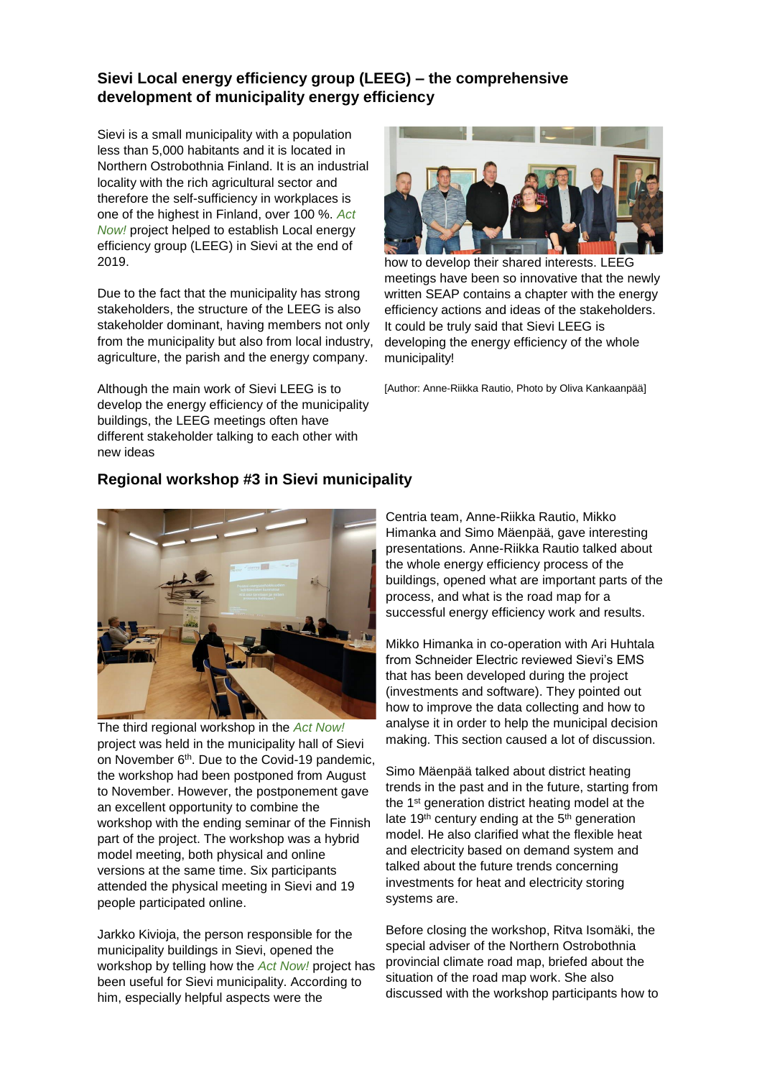# **Sievi Local energy efficiency group (LEEG) – the comprehensive development of municipality energy efficiency**

Sievi is a small municipality with a population less than 5,000 habitants and it is located in Northern Ostrobothnia Finland. It is an industrial locality with the rich agricultural sector and therefore the self-sufficiency in workplaces is one of the highest in Finland, over 100 %. *Act Now!* project helped to establish Local energy efficiency group (LEEG) in Sievi at the end of 2019.

Due to the fact that the municipality has strong stakeholders, the structure of the LEEG is also stakeholder dominant, having members not only from the municipality but also from local industry, agriculture, the parish and the energy company.

Although the main work of Sievi LEEG is to develop the energy efficiency of the municipality buildings, the LEEG meetings often have different stakeholder talking to each other with new ideas



how to develop their shared interests. LEEG meetings have been so innovative that the newly written SEAP contains a chapter with the energy efficiency actions and ideas of the stakeholders. It could be truly said that Sievi LEEG is developing the energy efficiency of the whole municipality!

[Author: Anne-Riikka Rautio, Photo by Oliva Kankaanpää]

# **Regional workshop #3 in Sievi municipality**



The third regional workshop in the *Act Now!* project was held in the municipality hall of Sievi on November 6<sup>th</sup>. Due to the Covid-19 pandemic, the workshop had been postponed from August to November. However, the postponement gave an excellent opportunity to combine the workshop with the ending seminar of the Finnish part of the project. The workshop was a hybrid model meeting, both physical and online versions at the same time. Six participants attended the physical meeting in Sievi and 19 people participated online.

Jarkko Kivioja, the person responsible for the municipality buildings in Sievi, opened the workshop by telling how the *Act Now!* project has been useful for Sievi municipality. According to him, especially helpful aspects were the

Centria team, Anne-Riikka Rautio, Mikko Himanka and Simo Mäenpää, gave interesting presentations. Anne-Riikka Rautio talked about the whole energy efficiency process of the buildings, opened what are important parts of the process, and what is the road map for a successful energy efficiency work and results.

Mikko Himanka in co-operation with Ari Huhtala from Schneider Electric reviewed Sievi's EMS that has been developed during the project (investments and software). They pointed out how to improve the data collecting and how to analyse it in order to help the municipal decision making. This section caused a lot of discussion.

Simo Mäenpää talked about district heating trends in the past and in the future, starting from the 1<sup>st</sup> generation district heating model at the late 19<sup>th</sup> century ending at the 5<sup>th</sup> generation model. He also clarified what the flexible heat and electricity based on demand system and talked about the future trends concerning investments for heat and electricity storing systems are.

Before closing the workshop, Ritva Isomäki, the special adviser of the Northern Ostrobothnia provincial climate road map, briefed about the situation of the road map work. She also discussed with the workshop participants how to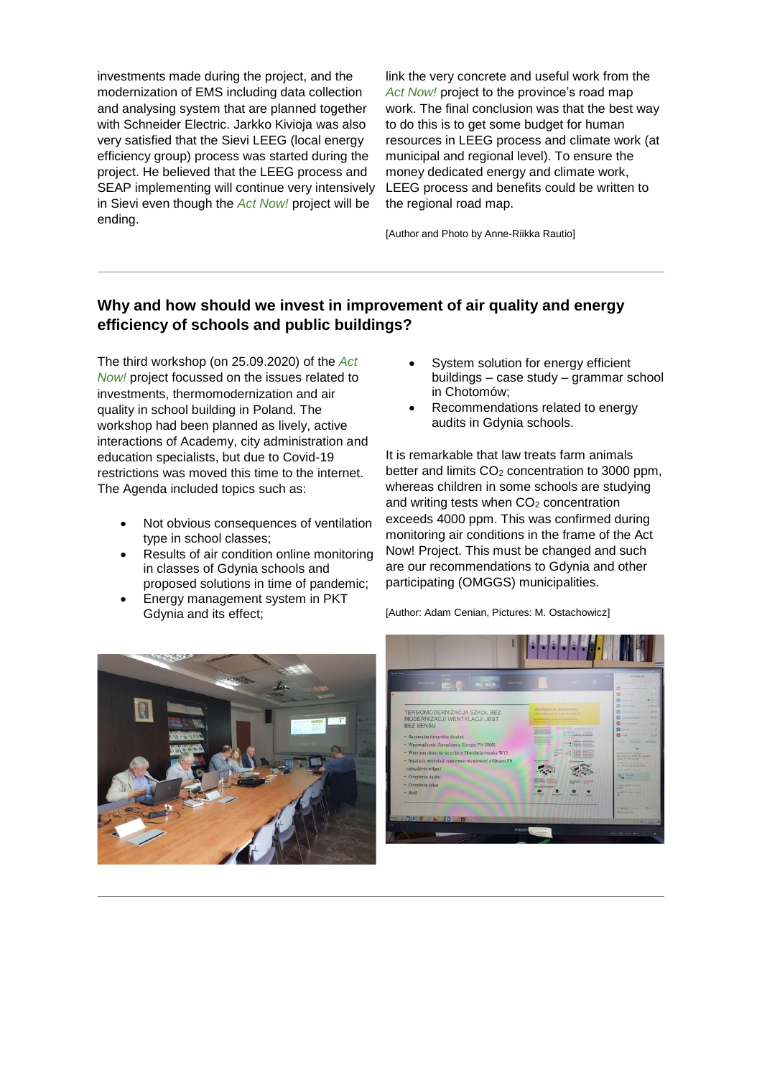investments made during the project, and the modernization of EMS including data collection and analysing system that are planned together with Schneider Electric. Jarkko Kivioja was also very satisfied that the Sievi LEEG (local energy efficiency group) process was started during the project. He believed that the LEEG process and SEAP implementing will continue very intensively in Sievi even though the *Act Now!* project will be ending.

link the very concrete and useful work from the *Act Now!* project to the province's road map work. The final conclusion was that the best way to do this is to get some budget for human resources in LEEG process and climate work (at municipal and regional level). To ensure the money dedicated energy and climate work, LEEG process and benefits could be written to the regional road map.

[Author and Photo by Anne-Riikka Rautio]

# **Why and how should we invest in improvement of air quality and energy efficiency of schools and public buildings?**

The third workshop (on 25.09.2020) of the *Act Now!* project focussed on the issues related to investments, thermomodernization and air quality in school building in Poland. The workshop had been planned as lively, active interactions of Academy, city administration and education specialists, but due to Covid-19 restrictions was moved this time to the internet. The Agenda included topics such as:

- Not obvious consequences of ventilation type in school classes;
- Results of air condition online monitoring in classes of Gdynia schools and proposed solutions in time of pandemic;
- Energy management system in PKT Gdynia and its effect;
- System solution for energy efficient buildings – case study – grammar school in Chotomów;
- Recommendations related to energy audits in Gdynia schools.

It is remarkable that law treats farm animals better and limits  $CO<sub>2</sub>$  concentration to 3000 ppm. whereas children in some schools are studying and writing tests when  $CO<sub>2</sub>$  concentration exceeds 4000 ppm. This was confirmed during monitoring air conditions in the frame of the Act Now! Project. This must be changed and such are our recommendations to Gdynia and other participating (OMGGS) municipalities.



[Author: Adam Cenian, Pictures: M. Ostachowicz]